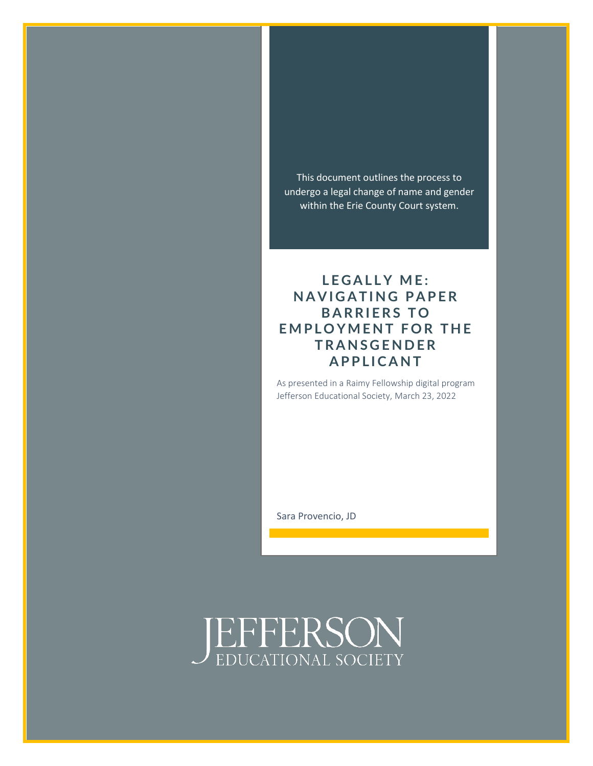This document outlines the process to undergo a legal change of name and gender within the Erie County Court system.

### LEGALLY ME: **NAVIGATING PAPER BARRIERS TO EMPLOYMENT FOR THE T R A N S G E N D E R A P P L I C A N T**

As presented in a Raimy Fellowship digital program Jefferson Educational Society, March 23, 2022

Sara Provencio, JD

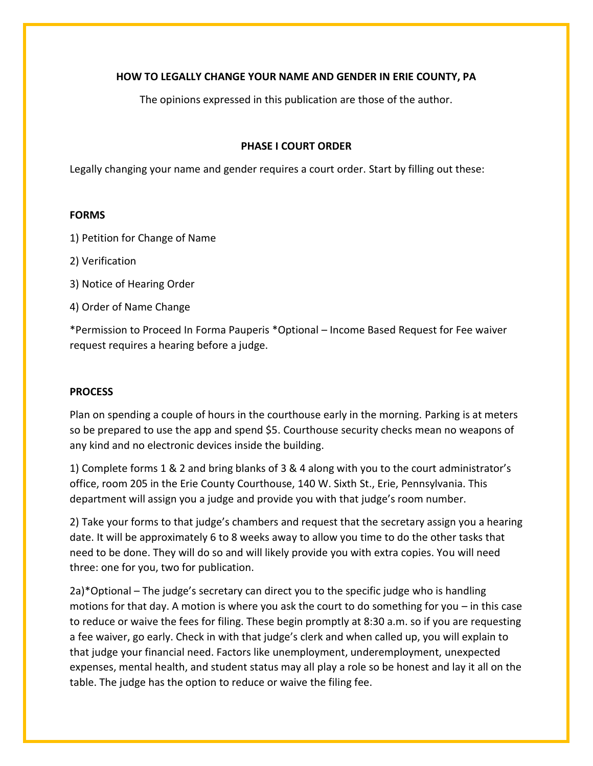#### **HOW TO LEGALLY CHANGE YOUR NAME AND GENDER IN ERIE COUNTY, PA**

The opinions expressed in this publication are those of the author.

#### **PHASE I COURT ORDER**

Legally changing your name and gender requires a court order. Start by filling out these:

#### **FORMS**

- 1) Petition for Change of Name
- 2) Verification
- 3) Notice of Hearing Order
- 4) Order of Name Change

\*Permission to Proceed In Forma Pauperis \*Optional – Income Based Request for Fee waiver request requires a hearing before a judge.

#### **PROCESS**

Plan on spending a couple of hours in the courthouse early in the morning. Parking is at meters so be prepared to use the app and spend \$5. Courthouse security checks mean no weapons of any kind and no electronic devices inside the building.

1) Complete forms 1 & 2 and bring blanks of 3 & 4 along with you to the court administrator's office, room 205 in the Erie County Courthouse, 140 W. Sixth St., Erie, Pennsylvania. This department will assign you a judge and provide you with that judge's room number.

2) Take your forms to that judge's chambers and request that the secretary assign you a hearing date. It will be approximately 6 to 8 weeks away to allow you time to do the other tasks that need to be done. They will do so and will likely provide you with extra copies. You will need three: one for you, two for publication.

2a)\*Optional – The judge's secretary can direct you to the specific judge who is handling motions for that day. A motion is where you ask the court to do something for you – in this case to reduce or waive the fees for filing. These begin promptly at 8:30 a.m. so if you are requesting a fee waiver, go early. Check in with that judge's clerk and when called up, you will explain to that judge your financial need. Factors like unemployment, underemployment, unexpected expenses, mental health, and student status may all play a role so be honest and lay it all on the table. The judge has the option to reduce or waive the filing fee.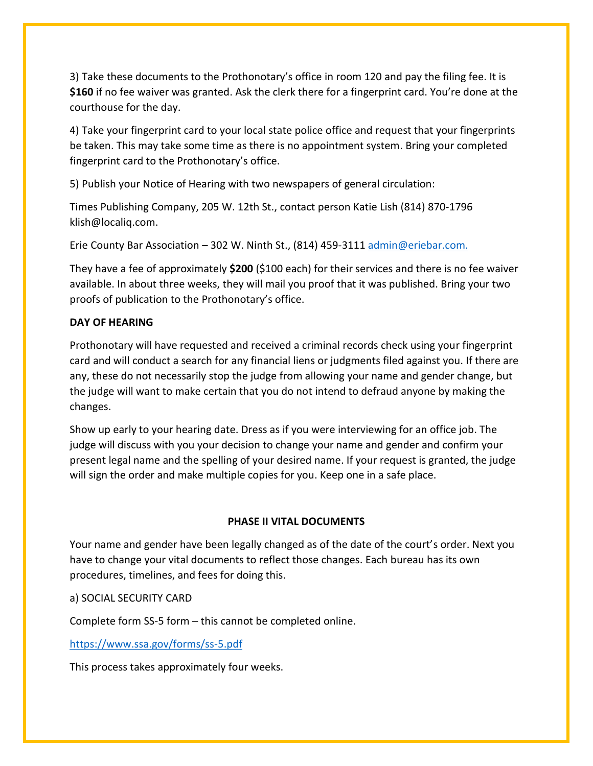3) Take these documents to the Prothonotary's office in room 120 and pay the filing fee. It is **\$160** if no fee waiver was granted. Ask the clerk there for a fingerprint card. You're done at the courthouse for the day.

4) Take your fingerprint card to your local state police office and request that your fingerprints be taken. This may take some time as there is no appointment system. Bring your completed fingerprint card to the Prothonotary's office.

5) Publish your Notice of Hearing with two newspapers of general circulation:

Times Publishing Company, 205 W. 12th St., contact person Katie Lish (814) 870-1796 klish@localiq.com.

Erie County Bar Association – 302 W. Ninth St., (814) 459-3111 [admin@eriebar.com.](mailto:admin@eriebar.com)

They have a fee of approximately **\$200** (\$100 each) for their services and there is no fee waiver available. In about three weeks, they will mail you proof that it was published. Bring your two proofs of publication to the Prothonotary's office.

#### **DAY OF HEARING**

Prothonotary will have requested and received a criminal records check using your fingerprint card and will conduct a search for any financial liens or judgments filed against you. If there are any, these do not necessarily stop the judge from allowing your name and gender change, but the judge will want to make certain that you do not intend to defraud anyone by making the changes.

Show up early to your hearing date. Dress as if you were interviewing for an office job. The judge will discuss with you your decision to change your name and gender and confirm your present legal name and the spelling of your desired name. If your request is granted, the judge will sign the order and make multiple copies for you. Keep one in a safe place.

#### **PHASE II VITAL DOCUMENTS**

Your name and gender have been legally changed as of the date of the court's order. Next you have to change your vital documents to reflect those changes. Each bureau has its own procedures, timelines, and fees for doing this.

#### a) SOCIAL SECURITY CARD

Complete form SS-5 form – this cannot be completed online.

#### <https://www.ssa.gov/forms/ss-5.pdf>

This process takes approximately four weeks.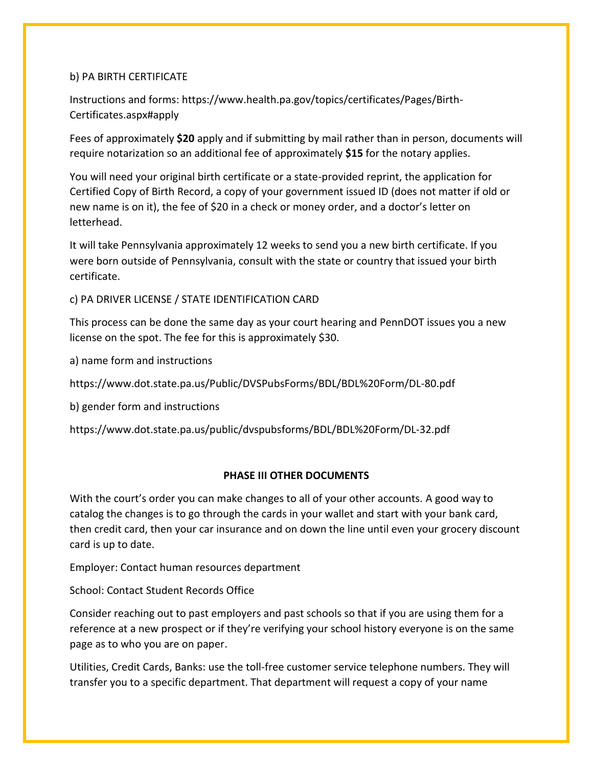#### b) PA BIRTH CERTIFICATE

Instructions and forms: https://www.health.pa.gov/topics/certificates/Pages/Birth-Certificates.aspx#apply

Fees of approximately **\$20** apply and if submitting by mail rather than in person, documents will require notarization so an additional fee of approximately **\$15** for the notary applies.

You will need your original birth certificate or a state-provided reprint, the application for Certified Copy of Birth Record, a copy of your government issued ID (does not matter if old or new name is on it), the fee of \$20 in a check or money order, and a doctor's letter on letterhead.

It will take Pennsylvania approximately 12 weeks to send you a new birth certificate. If you were born outside of Pennsylvania, consult with the state or country that issued your birth certificate.

c) PA DRIVER LICENSE / STATE IDENTIFICATION CARD

This process can be done the same day as your court hearing and PennDOT issues you a new license on the spot. The fee for this is approximately \$30.

a) name form and instructions

https://www.dot.state.pa.us/Public/DVSPubsForms/BDL/BDL%20Form/DL-80.pdf

b) gender form and instructions

https://www.dot.state.pa.us/public/dvspubsforms/BDL/BDL%20Form/DL-32.pdf

#### **PHASE III OTHER DOCUMENTS**

With the court's order you can make changes to all of your other accounts. A good way to catalog the changes is to go through the cards in your wallet and start with your bank card, then credit card, then your car insurance and on down the line until even your grocery discount card is up to date.

Employer: Contact human resources department

School: Contact Student Records Office

Consider reaching out to past employers and past schools so that if you are using them for a reference at a new prospect or if they're verifying your school history everyone is on the same page as to who you are on paper.

Utilities, Credit Cards, Banks: use the toll-free customer service telephone numbers. They will transfer you to a specific department. That department will request a copy of your name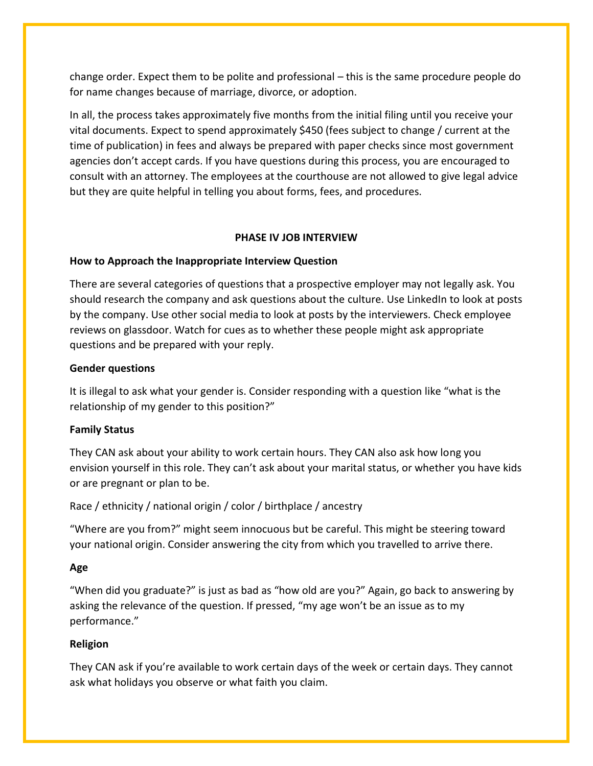change order. Expect them to be polite and professional – this is the same procedure people do for name changes because of marriage, divorce, or adoption.

In all, the process takes approximately five months from the initial filing until you receive your vital documents. Expect to spend approximately \$450 (fees subject to change / current at the time of publication) in fees and always be prepared with paper checks since most government agencies don't accept cards. If you have questions during this process, you are encouraged to consult with an attorney. The employees at the courthouse are not allowed to give legal advice but they are quite helpful in telling you about forms, fees, and procedures.

#### **PHASE IV JOB INTERVIEW**

#### **How to Approach the Inappropriate Interview Question**

There are several categories of questions that a prospective employer may not legally ask. You should research the company and ask questions about the culture. Use LinkedIn to look at posts by the company. Use other social media to look at posts by the interviewers. Check employee reviews on glassdoor. Watch for cues as to whether these people might ask appropriate questions and be prepared with your reply.

#### **Gender questions**

It is illegal to ask what your gender is. Consider responding with a question like "what is the relationship of my gender to this position?"

#### **Family Status**

They CAN ask about your ability to work certain hours. They CAN also ask how long you envision yourself in this role. They can't ask about your marital status, or whether you have kids or are pregnant or plan to be.

#### Race / ethnicity / national origin / color / birthplace / ancestry

"Where are you from?" might seem innocuous but be careful. This might be steering toward your national origin. Consider answering the city from which you travelled to arrive there.

#### **Age**

"When did you graduate?" is just as bad as "how old are you?" Again, go back to answering by asking the relevance of the question. If pressed, "my age won't be an issue as to my performance."

#### **Religion**

They CAN ask if you're available to work certain days of the week or certain days. They cannot ask what holidays you observe or what faith you claim.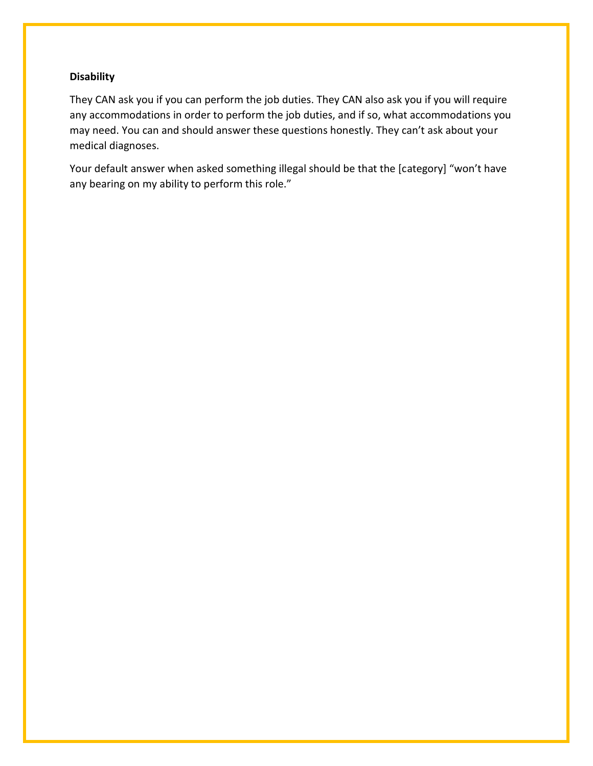#### **Disability**

They CAN ask you if you can perform the job duties. They CAN also ask you if you will require any accommodations in order to perform the job duties, and if so, what accommodations you may need. You can and should answer these questions honestly. They can't ask about your medical diagnoses.

Your default answer when asked something illegal should be that the [category] "won't have any bearing on my ability to perform this role."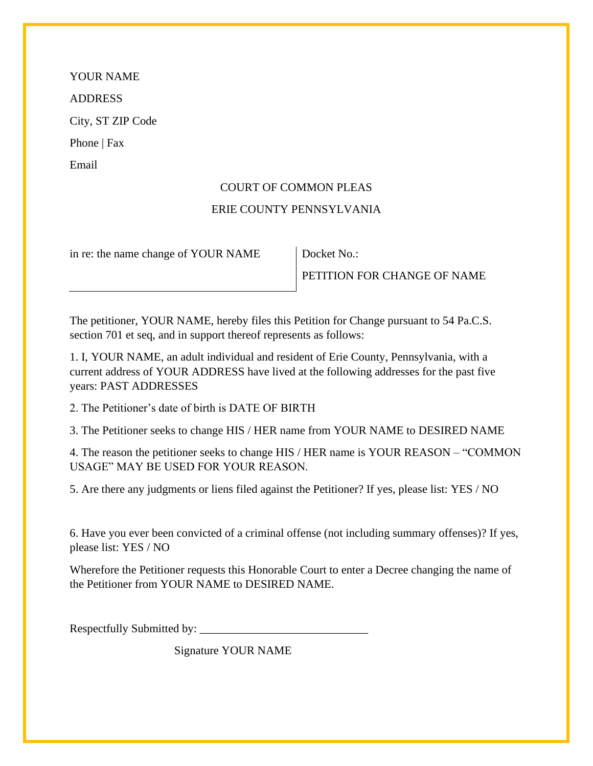#### COURT OF COMMON PLEAS

#### ERIE COUNTY PENNSYLVANIA

in re: the name change of YOUR NAME Docket No.:

PETITION FOR CHANGE OF NAME

The petitioner, YOUR NAME, hereby files this Petition for Change pursuant to 54 Pa.C.S. section 701 et seq, and in support thereof represents as follows:

1. I, YOUR NAME, an adult individual and resident of Erie County, Pennsylvania, with a current address of YOUR ADDRESS have lived at the following addresses for the past five years: PAST ADDRESSES

2. The Petitioner's date of birth is DATE OF BIRTH

3. The Petitioner seeks to change HIS / HER name from YOUR NAME to DESIRED NAME

4. The reason the petitioner seeks to change HIS / HER name is YOUR REASON – "COMMON USAGE" MAY BE USED FOR YOUR REASON.

5. Are there any judgments or liens filed against the Petitioner? If yes, please list: YES / NO

6. Have you ever been convicted of a criminal offense (not including summary offenses)? If yes, please list: YES / NO

Wherefore the Petitioner requests this Honorable Court to enter a Decree changing the name of the Petitioner from YOUR NAME to DESIRED NAME.

Respectfully Submitted by: \_\_\_\_\_\_\_\_\_\_\_\_\_\_\_\_\_\_\_\_\_\_\_\_\_\_\_\_\_

Signature YOUR NAME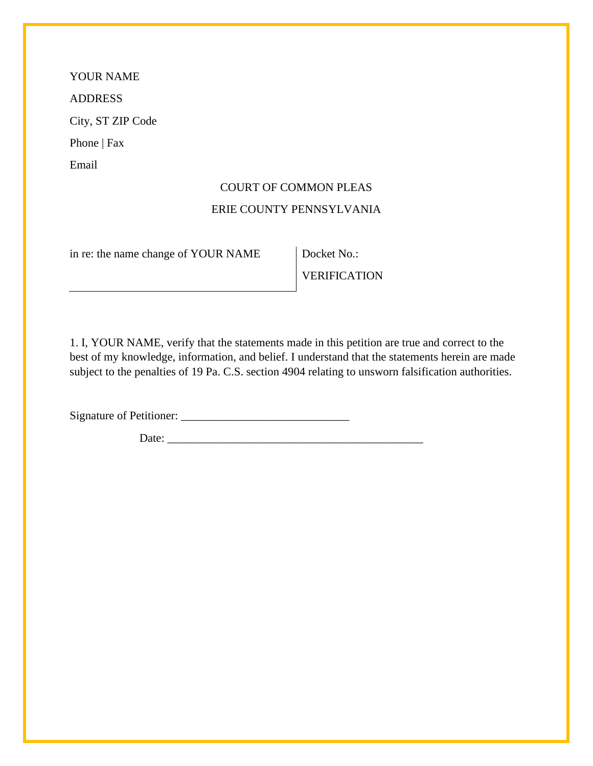# COURT OF COMMON PLEAS

### ERIE COUNTY PENNSYLVANIA

in re: the name change of YOUR NAME Docket No.:

VERIFICATION

1. I, YOUR NAME, verify that the statements made in this petition are true and correct to the best of my knowledge, information, and belief. I understand that the statements herein are made subject to the penalties of 19 Pa. C.S. section 4904 relating to unsworn falsification authorities.

Signature of Petitioner: \_\_\_\_\_\_\_\_\_\_\_\_\_\_\_\_\_\_\_\_\_\_\_\_\_\_\_\_\_

Date: \_\_\_\_\_\_\_\_\_\_\_\_\_\_\_\_\_\_\_\_\_\_\_\_\_\_\_\_\_\_\_\_\_\_\_\_\_\_\_\_\_\_\_\_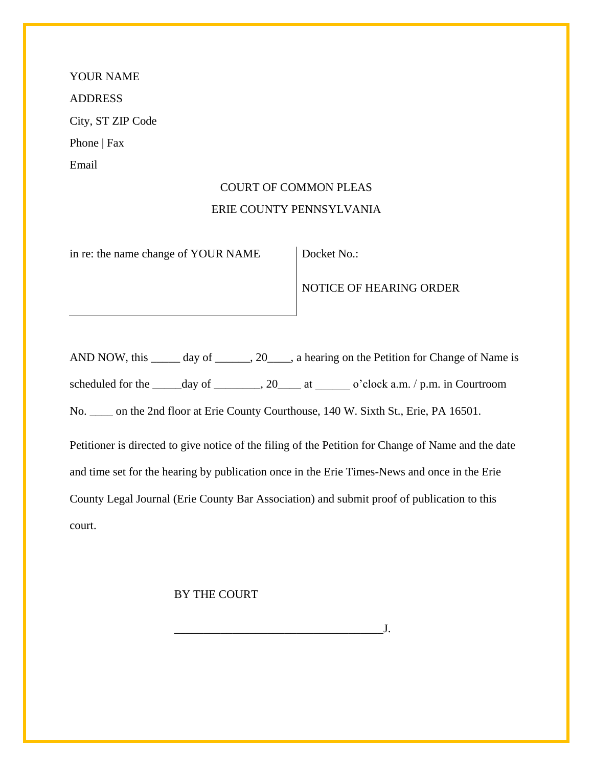# COURT OF COMMON PLEAS ERIE COUNTY PENNSYLVANIA

in re: the name change of YOUR NAME Docket No.:

#### NOTICE OF HEARING ORDER

AND NOW, this \_\_\_\_\_\_ day of \_\_\_\_\_\_, 20\_\_\_\_, a hearing on the Petition for Change of Name is

scheduled for the  $\_\_\_day$  of  $\_\_\_\_$ , 20 $\_\_\_\_at$  at  $\_\_o$ 'clock a.m. / p.m. in Courtroom

No. \_\_\_\_ on the 2nd floor at Erie County Courthouse, 140 W. Sixth St., Erie, PA 16501.

Petitioner is directed to give notice of the filing of the Petition for Change of Name and the date and time set for the hearing by publication once in the Erie Times-News and once in the Erie County Legal Journal (Erie County Bar Association) and submit proof of publication to this court.

\_\_\_\_\_\_\_\_\_\_\_\_\_\_\_\_\_\_\_\_\_\_\_\_\_\_\_\_\_\_\_\_\_\_\_\_J.

#### BY THE COURT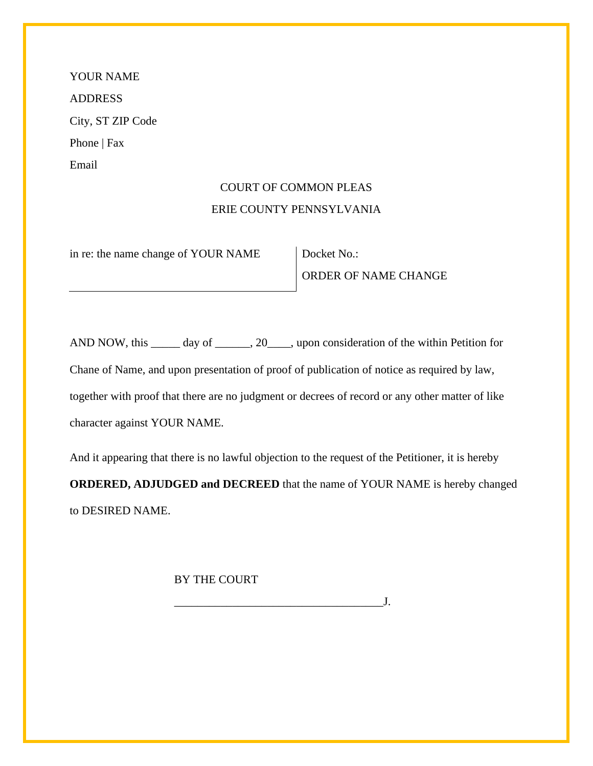# COURT OF COMMON PLEAS ERIE COUNTY PENNSYLVANIA

in re: the name change of YOUR NAME Docket No.:

ORDER OF NAME CHANGE

AND NOW, this \_\_\_\_\_\_ day of \_\_\_\_\_\_, 20\_\_\_\_, upon consideration of the within Petition for Chane of Name, and upon presentation of proof of publication of notice as required by law, together with proof that there are no judgment or decrees of record or any other matter of like character against YOUR NAME.

And it appearing that there is no lawful objection to the request of the Petitioner, it is hereby **ORDERED, ADJUDGED and DECREED** that the name of YOUR NAME is hereby changed to DESIRED NAME.

 $J$ .

BY THE COURT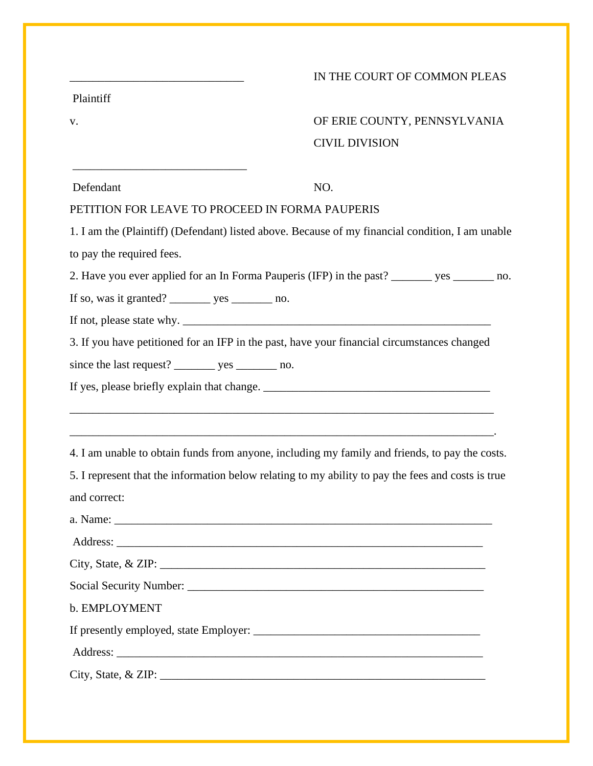|                                                 | IN THE COURT OF COMMON PLEAS                                                                       |  |
|-------------------------------------------------|----------------------------------------------------------------------------------------------------|--|
| Plaintiff                                       |                                                                                                    |  |
| V.                                              | OF ERIE COUNTY, PENNSYLVANIA                                                                       |  |
|                                                 | <b>CIVIL DIVISION</b>                                                                              |  |
| Defendant                                       | NO.                                                                                                |  |
| PETITION FOR LEAVE TO PROCEED IN FORMA PAUPERIS |                                                                                                    |  |
|                                                 | 1. I am the (Plaintiff) (Defendant) listed above. Because of my financial condition, I am unable   |  |
| to pay the required fees.                       |                                                                                                    |  |
|                                                 | 2. Have you ever applied for an In Forma Pauperis (IFP) in the past? _______ yes ______ no.        |  |
|                                                 |                                                                                                    |  |
|                                                 |                                                                                                    |  |
|                                                 | 3. If you have petitioned for an IFP in the past, have your financial circumstances changed        |  |
|                                                 |                                                                                                    |  |
|                                                 |                                                                                                    |  |
|                                                 |                                                                                                    |  |
|                                                 |                                                                                                    |  |
|                                                 | 4. I am unable to obtain funds from anyone, including my family and friends, to pay the costs.     |  |
|                                                 | 5. I represent that the information below relating to my ability to pay the fees and costs is true |  |
| and correct:                                    |                                                                                                    |  |
|                                                 |                                                                                                    |  |
|                                                 |                                                                                                    |  |
|                                                 | City, State, & ZIP:                                                                                |  |
|                                                 |                                                                                                    |  |
| b. EMPLOYMENT                                   |                                                                                                    |  |
|                                                 |                                                                                                    |  |
|                                                 |                                                                                                    |  |
|                                                 | City, State, & ZIP:                                                                                |  |
|                                                 |                                                                                                    |  |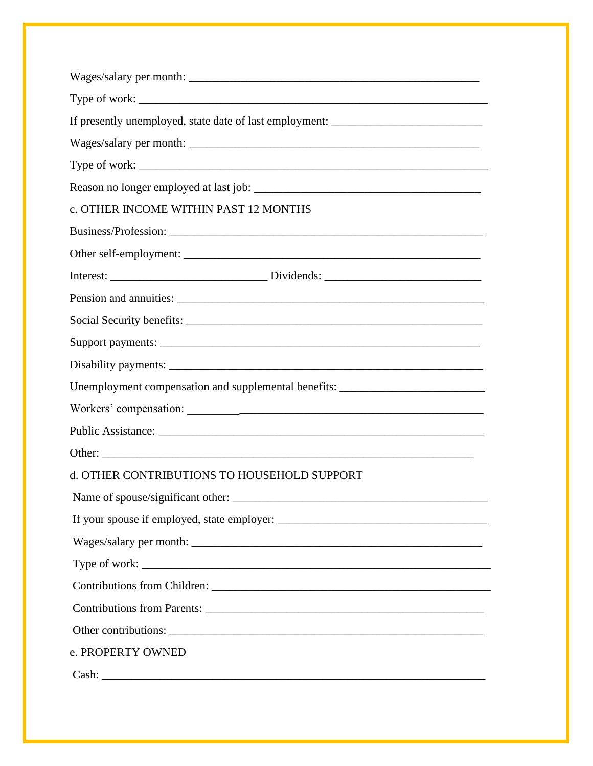| If presently unemployed, state date of last employment: ________________________ |  |  |
|----------------------------------------------------------------------------------|--|--|
|                                                                                  |  |  |
|                                                                                  |  |  |
|                                                                                  |  |  |
| c. OTHER INCOME WITHIN PAST 12 MONTHS                                            |  |  |
|                                                                                  |  |  |
|                                                                                  |  |  |
|                                                                                  |  |  |
|                                                                                  |  |  |
|                                                                                  |  |  |
|                                                                                  |  |  |
|                                                                                  |  |  |
| Unemployment compensation and supplemental benefits: ___________________________ |  |  |
|                                                                                  |  |  |
|                                                                                  |  |  |
|                                                                                  |  |  |
| d. OTHER CONTRIBUTIONS TO HOUSEHOLD SUPPORT                                      |  |  |
|                                                                                  |  |  |
|                                                                                  |  |  |
|                                                                                  |  |  |
|                                                                                  |  |  |
|                                                                                  |  |  |
|                                                                                  |  |  |
|                                                                                  |  |  |
| e. PROPERTY OWNED                                                                |  |  |
|                                                                                  |  |  |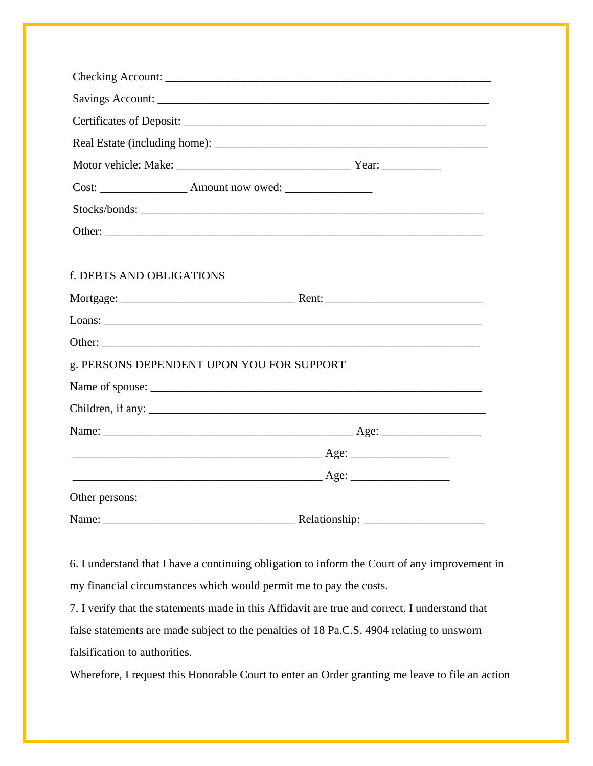| Cost: _______________________ Amount now owed: _________________________________                                                                                                                                               |  |
|--------------------------------------------------------------------------------------------------------------------------------------------------------------------------------------------------------------------------------|--|
|                                                                                                                                                                                                                                |  |
|                                                                                                                                                                                                                                |  |
|                                                                                                                                                                                                                                |  |
| f. DEBTS AND OBLIGATIONS                                                                                                                                                                                                       |  |
|                                                                                                                                                                                                                                |  |
|                                                                                                                                                                                                                                |  |
|                                                                                                                                                                                                                                |  |
| g. PERSONS DEPENDENT UPON YOU FOR SUPPORT                                                                                                                                                                                      |  |
|                                                                                                                                                                                                                                |  |
|                                                                                                                                                                                                                                |  |
|                                                                                                                                                                                                                                |  |
|                                                                                                                                                                                                                                |  |
|                                                                                                                                                                                                                                |  |
| Other persons:                                                                                                                                                                                                                 |  |
| Name: Name: Name: Name: Nelationship: Nelationship: Nelationship: Nelationship: Nelationship: Nelationship: Nelationship: Nelationship: Nelationship: Nelationship: Nelationship: Nelationship: Nelationship: Nelationship: Ne |  |

6. I understand that I have a continuing obligation to inform the Court of any improvement in my financial circumstances which would permit me to pay the costs.

7. I verify that the statements made in this Affidavit are true and correct. I understand that false statements are made subject to the penalties of 18 Pa.C.S. 4904 relating to unsworn falsification to authorities.

Wherefore, I request this Honorable Court to enter an Order granting me leave to file an action